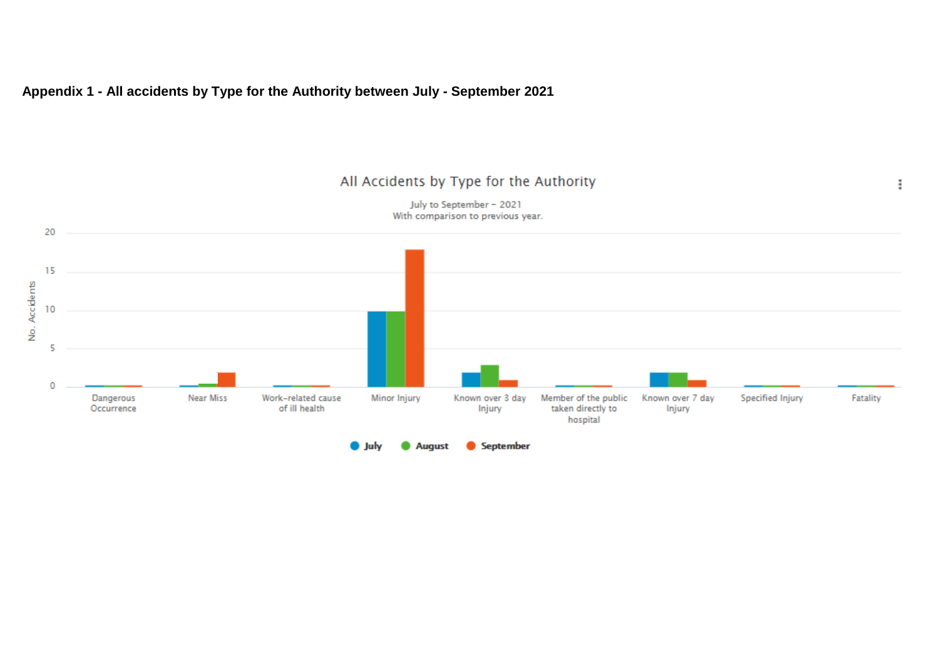#### **Appendix 1 - All accidents by Type for the Authority between July - September 2021**

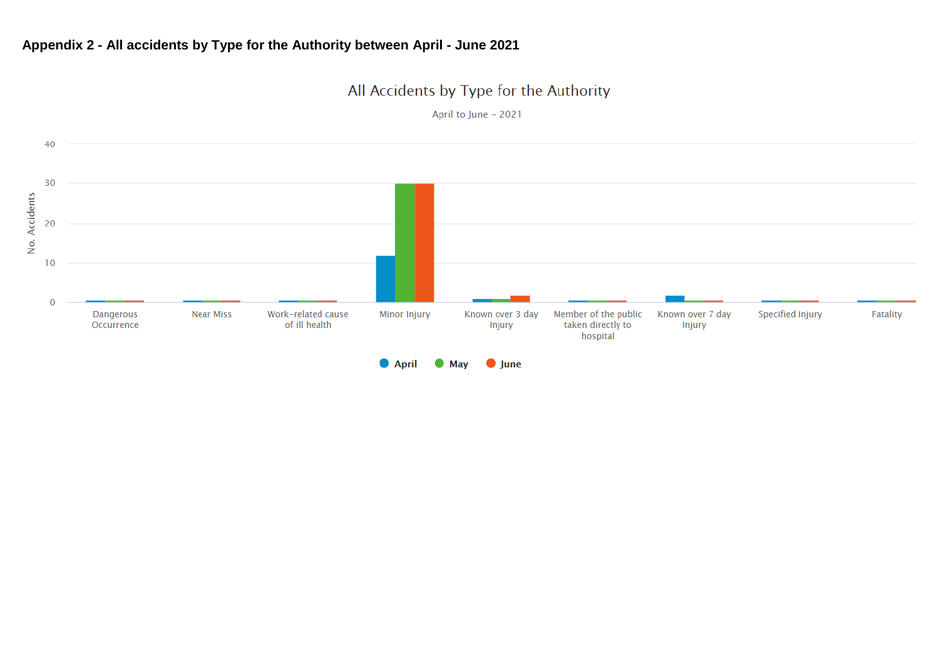## **Appendix 2 - All accidents by Type for the Authority between April - June 2021**

# All Accidents by Type for the Authority

April to June - 2021

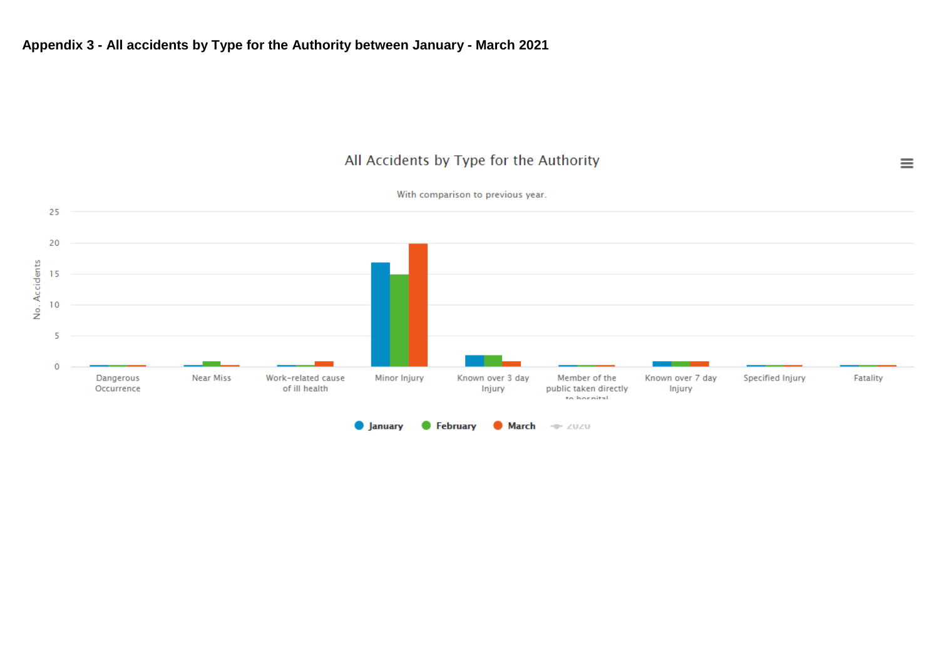$\equiv$ 



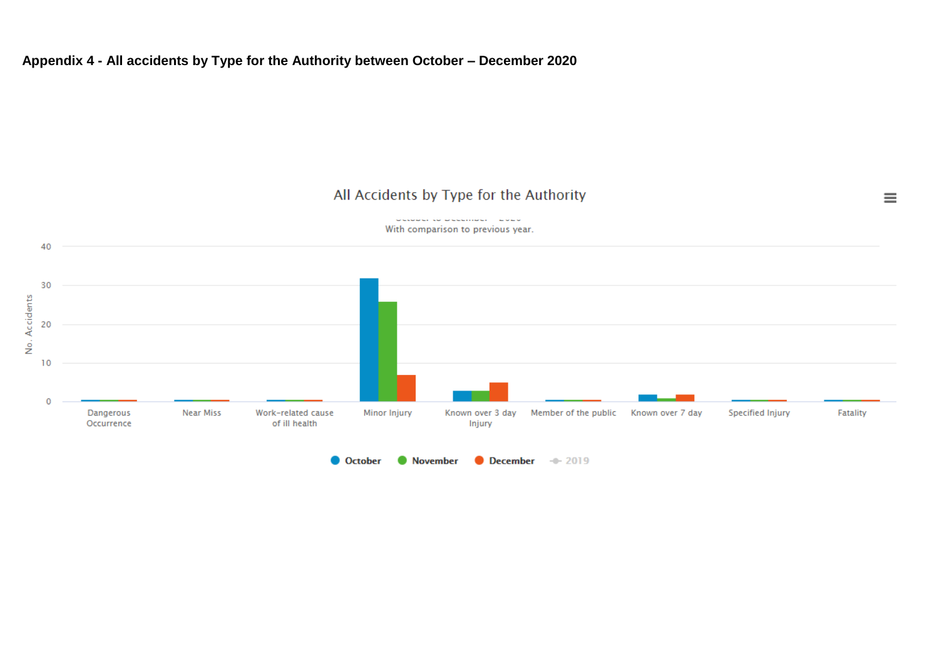## **Appendix 4 - All accidents by Type for the Authority between October – December 2020**

## All Accidents by Type for the Authority



occoper to pecumpure about With comparison to previous year.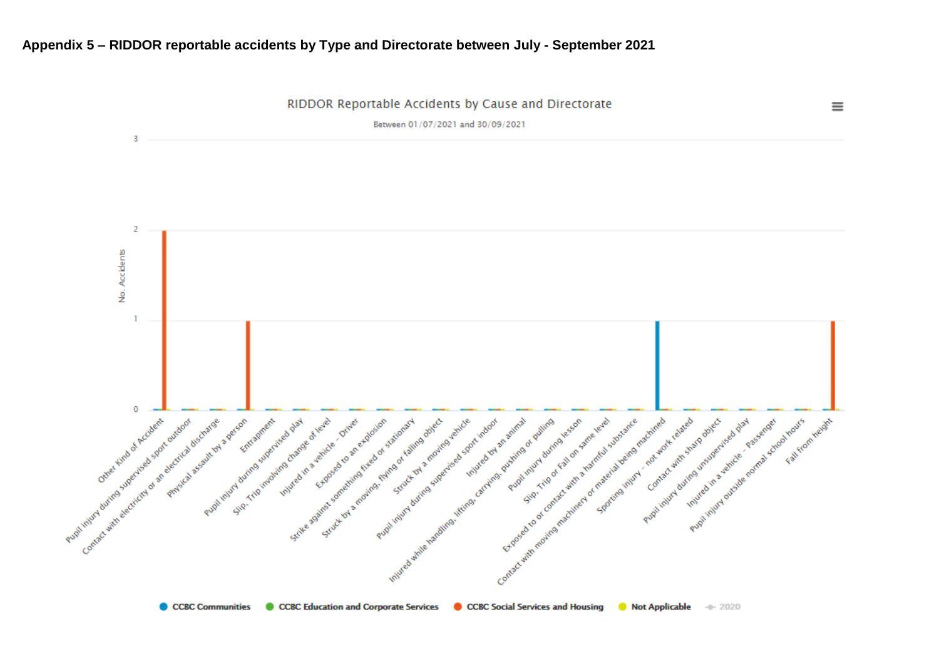### **Appendix 5 – RIDDOR reportable accidents by Type and Directorate between July - September 2021**



CCBC Communities CCBC Education and Corporate Services CCBC Social Services and Housing C Not Applicable + 2020

 $\equiv$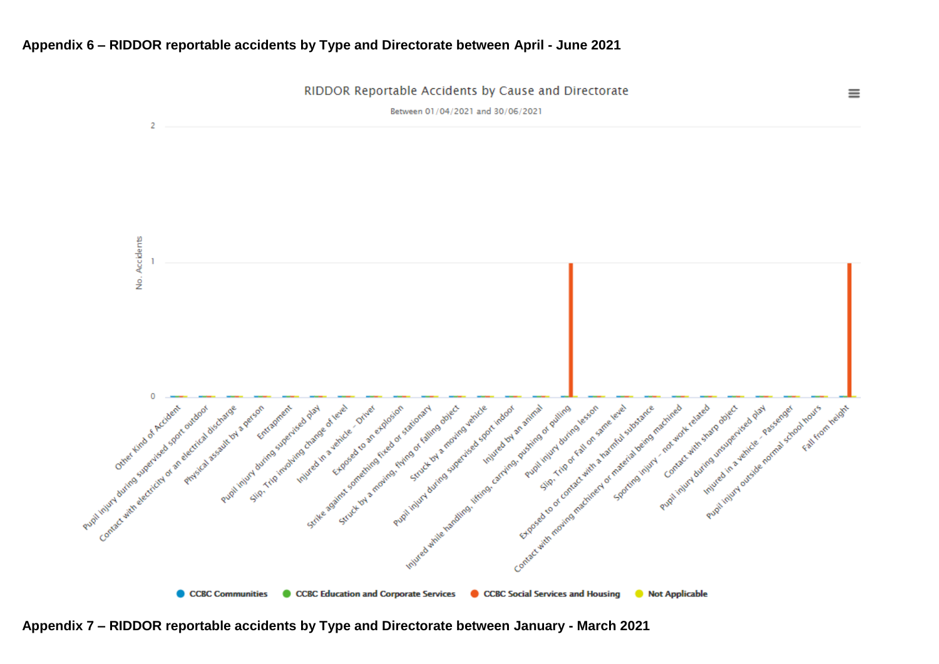### **Appendix 6 – RIDDOR reportable accidents by Type and Directorate between April - June 2021**



**Appendix 7 – RIDDOR reportable accidents by Type and Directorate between January - March 2021**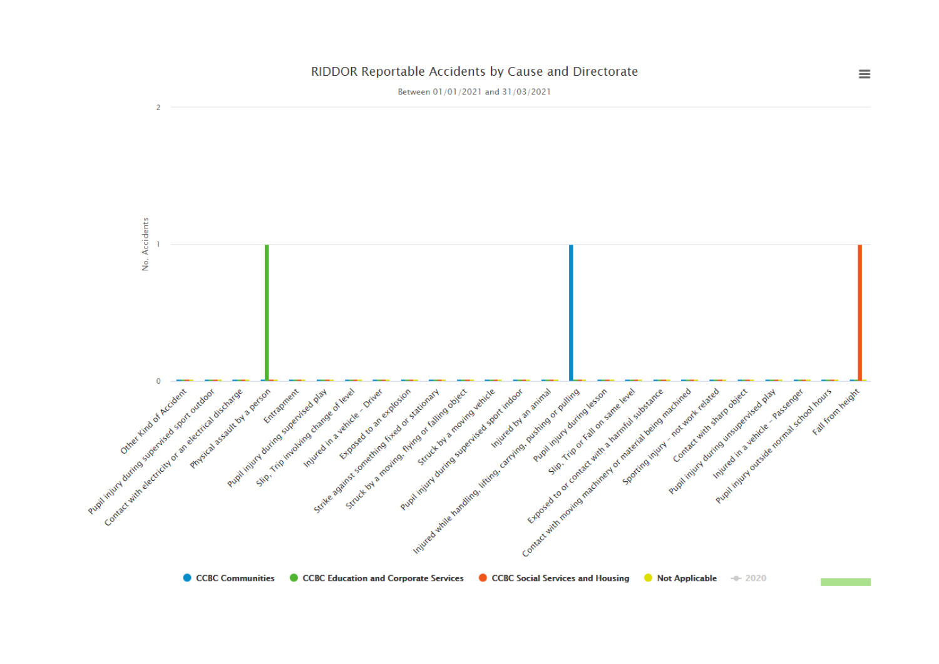

#### RIDDOR Reportable Accidents by Cause and Directorate

 $\equiv$ 

CCBC Communities CCBC Education and Corporate Services CCBC Social Services and Housing C Not Applicable -0-2020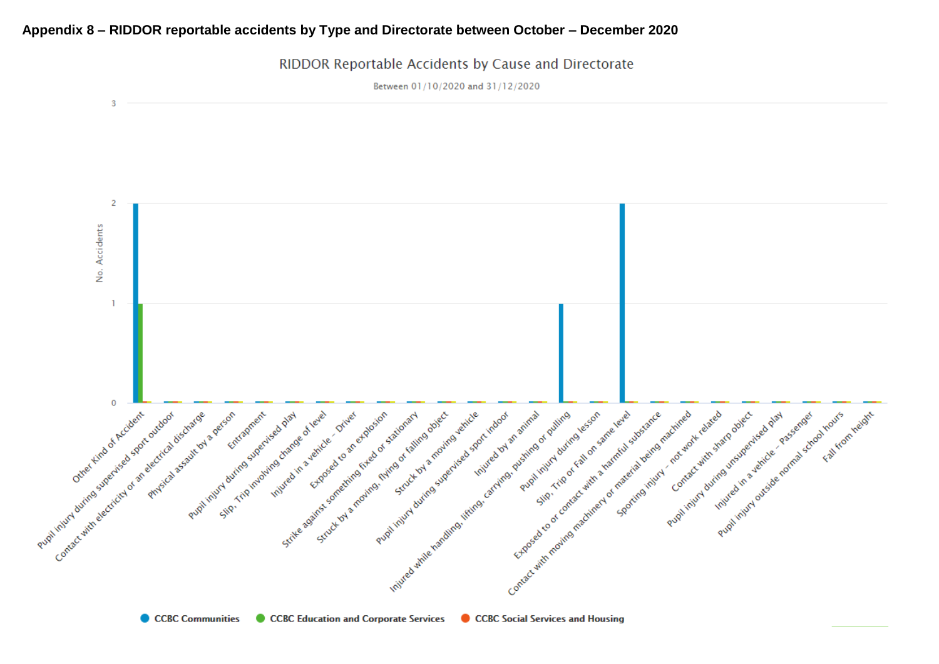#### **Appendix 8 – RIDDOR reportable accidents by Type and Directorate between October – December 2020**

-3  $\overline{2}$ No. Accidents  $\mathbf{I}$ Contact with moving the divine in the formation in contact with the state of contact with a little of production in the state of the state of the state of the state of the state of the state of the state of the state of th Pupilities of satirday and the superior of the state of the original contraction of the state of the state of the state of the state of the state of the state of the state of the state of the state of the state of the stat Pupil injuri during subscritting of a sport outdoor Contact with electricity of an electricial assembly evaluated Science of level of the prime in structure of the prime of the prime of the prime of the prime of the prime of the prime of the prime of the prime of the prime of the prime of the prime of the prime of the prime of the pri Steve of privation for stationary and the stationary Pupilihing driving supering a right of the Parties of the Parties of the Parties of the Parties of the Parties of the Parties of the Parties of the Parties of the Parties of the Parties of the Parties of the Parties of the Putition in the defender of the control control in the limit of the limit of the processes of the control of the control of the limit of the limit of the control of the control of the control of the control of the control  $\circ$ Pupil routing to the pupil result of the room Pupil injury during superised parties s decant completed and a verdice of the state of the state of the state of the state of the state of the state of the state of the state of the state of the state of the state of the state of the state of the state of the Freehouteval deriver and work diving under the contract with sharp of Principles discharge exercise Injured in a vehicle of vere and elated and proceed as plant street of the street Floor Hours (Street Asset

RIDDOR Reportable Accidents by Cause and Directorate

Between 01/10/2020 and 31/12/2020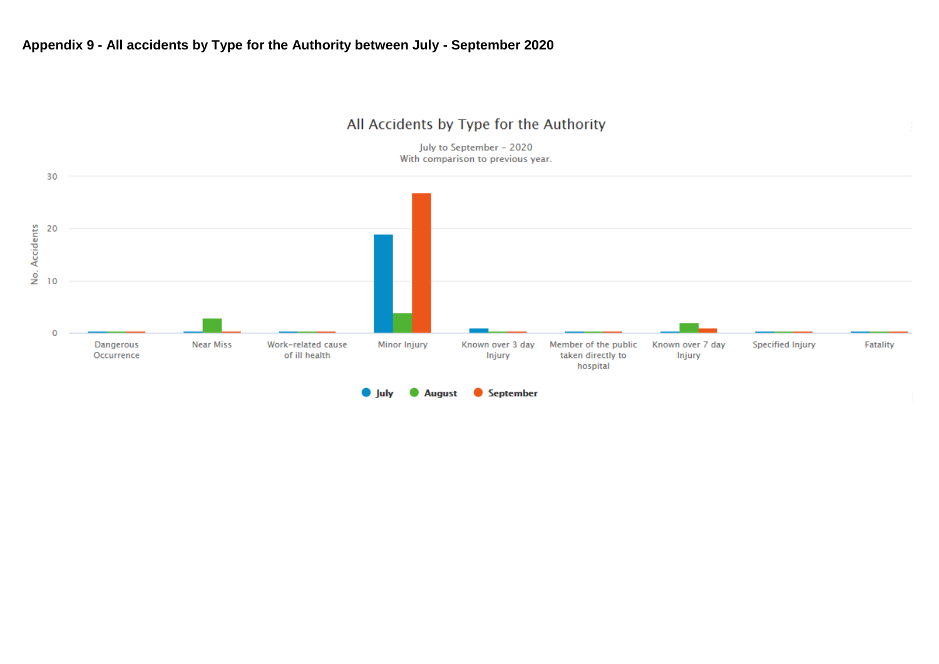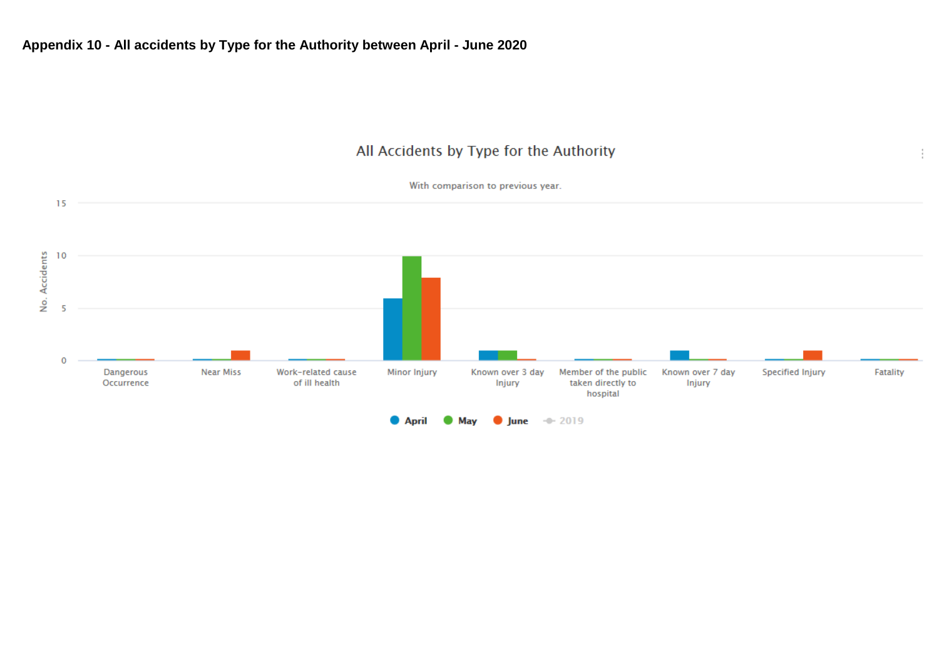

Ť



Mav

**April** 

 $\n *lune*\n*-* 2019\n$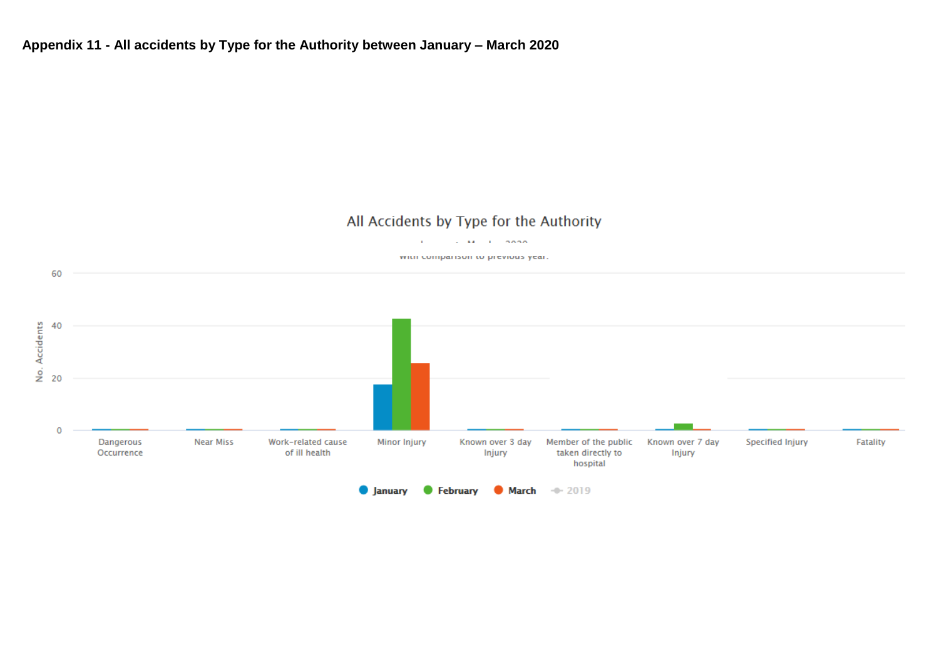## **Appendix 11 - All accidents by Type for the Authority between January – March 2020**

## All Accidents by Type for the Authority

**Contract Article Connor** 

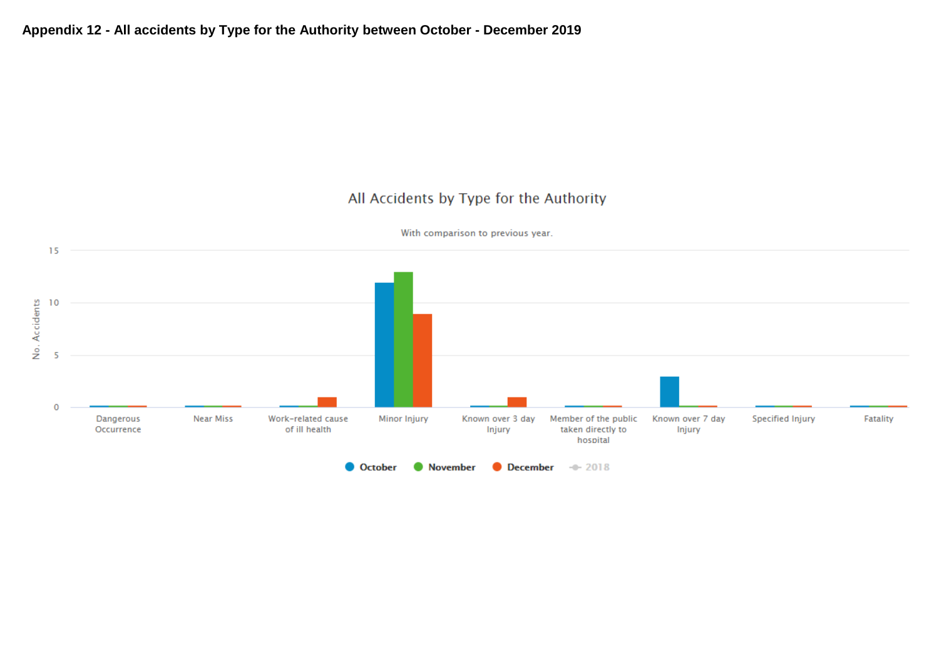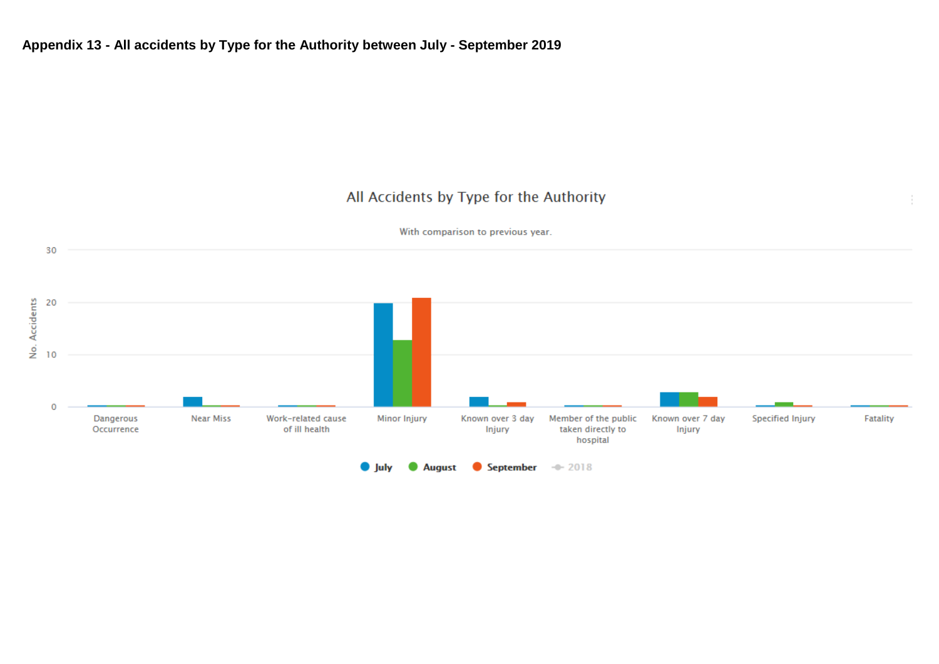÷

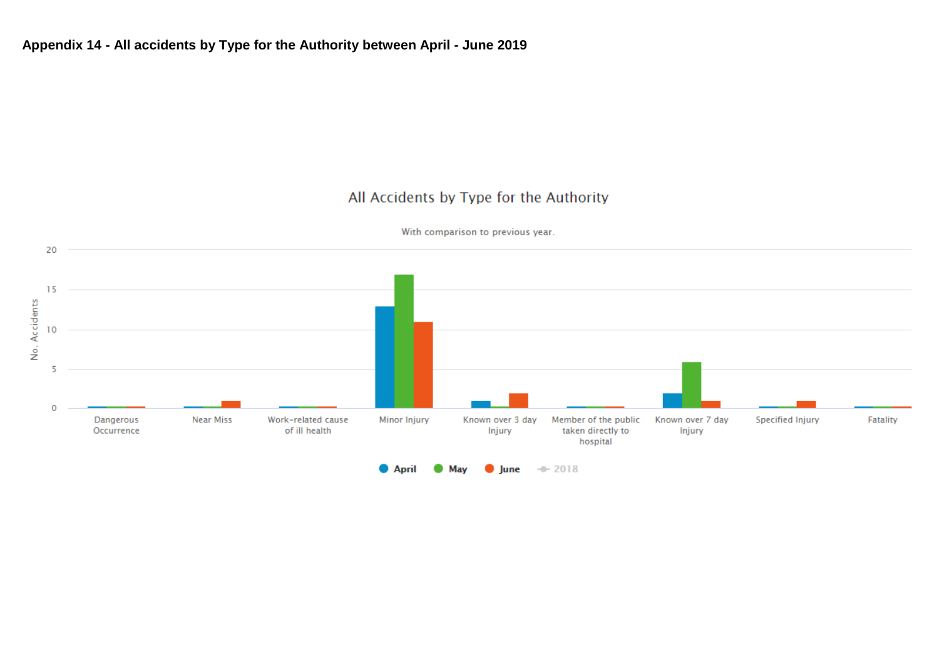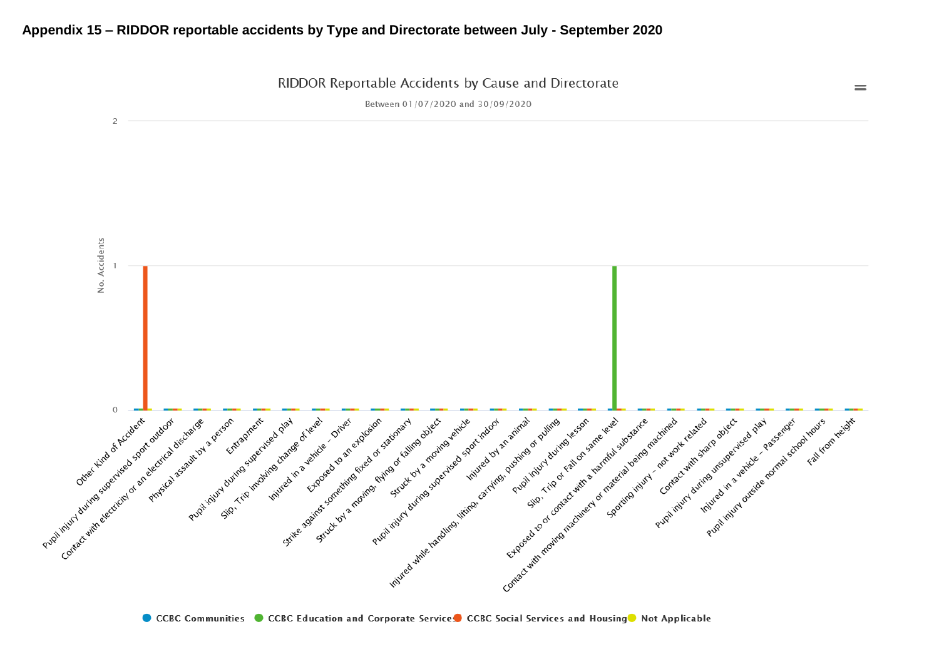### **Appendix 15 – RIDDOR reportable accidents by Type and Directorate between July - September 2020**

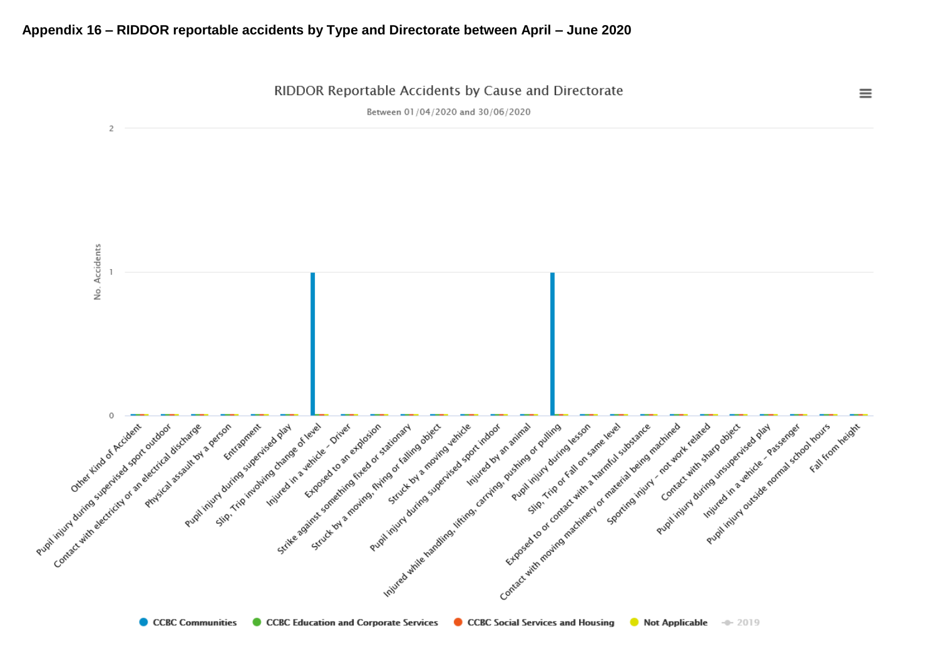#### **Appendix 16 – RIDDOR reportable accidents by Type and Directorate between April – June 2020**

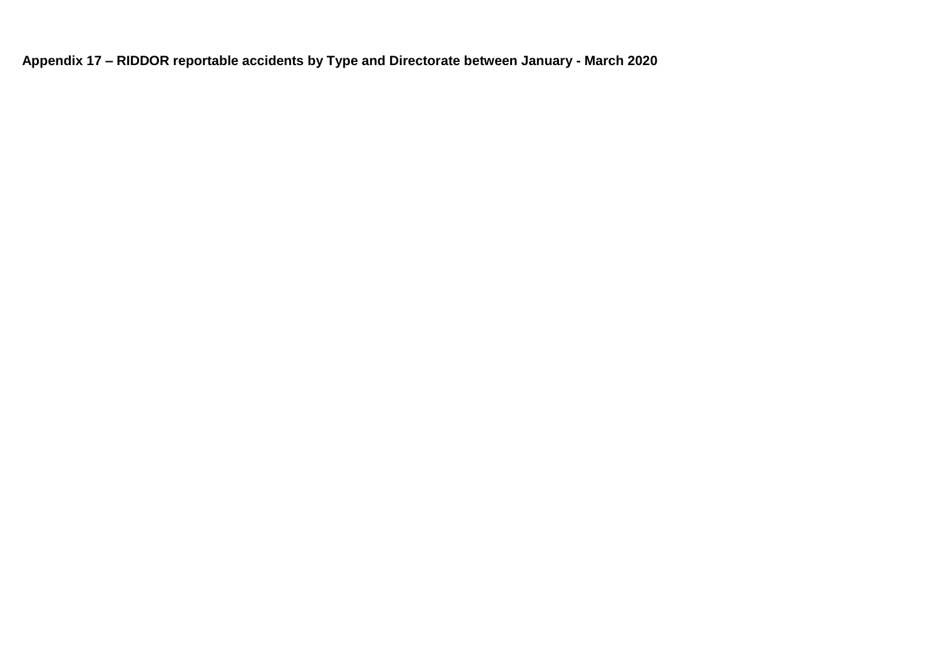**Appendix 17 – RIDDOR reportable accidents by Type and Directorate between January - March 2020**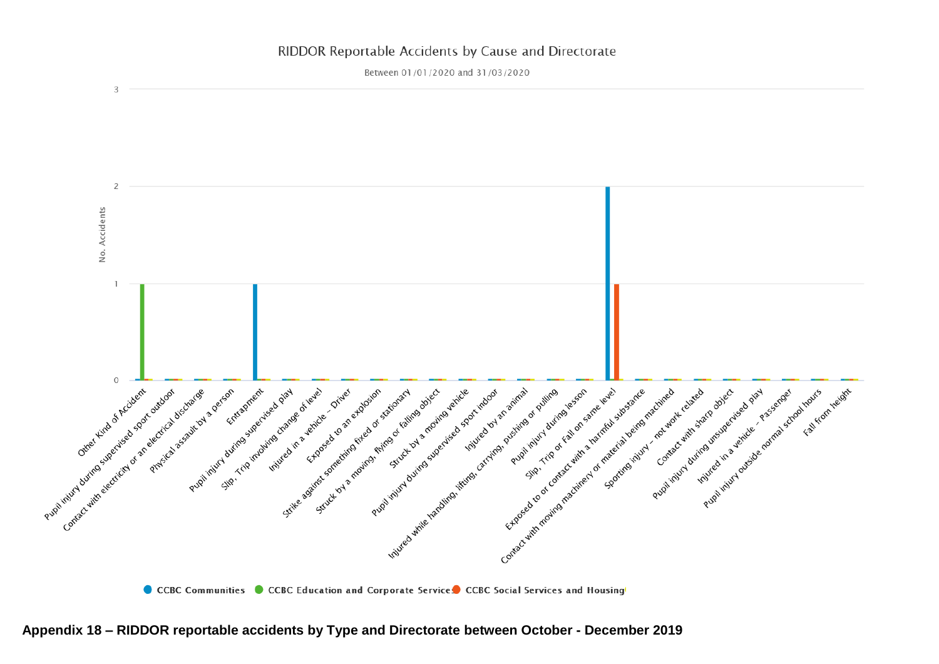### RIDDOR Reportable Accidents by Cause and Directorate

Between 01/01/2020 and 31/03/2020



CCBC Communities CCBC Education and Corporate Services CCBC Social Services and Housing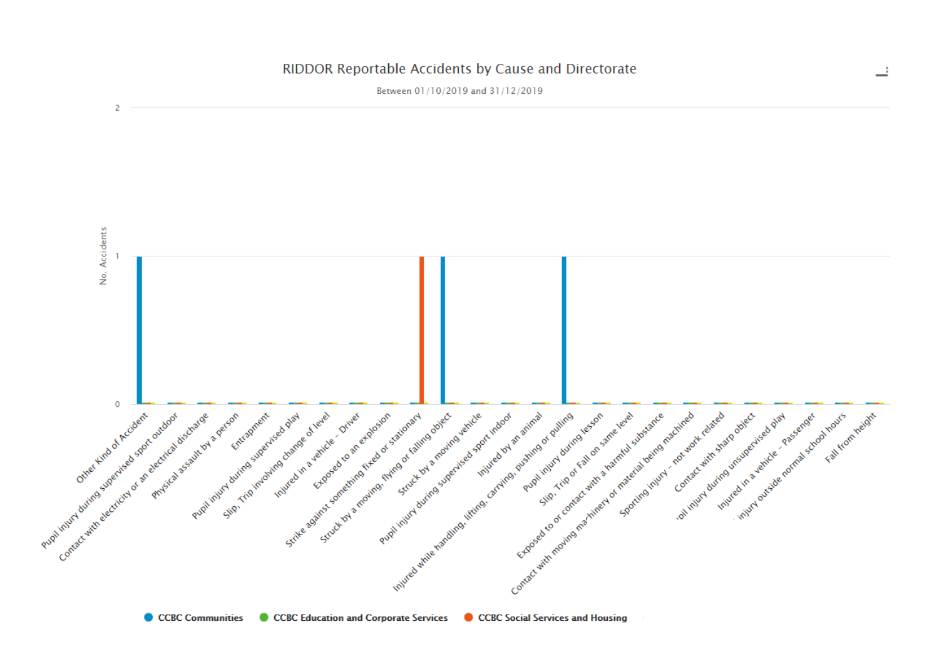#### RIDDOR Reportable Accidents by Cause and Directorate

Between 01/10/2019 and 31/12/2019



CCBC Communities CCBC Education and Corporate Services CCBC Social Services and Housing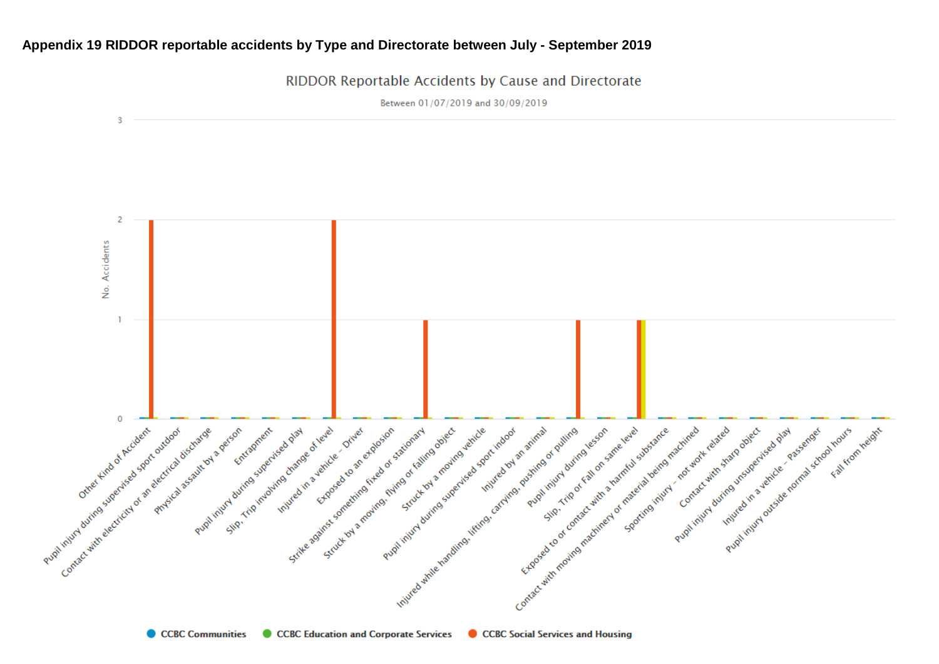### **Appendix 19 RIDDOR reportable accidents by Type and Directorate between July - September 2019**